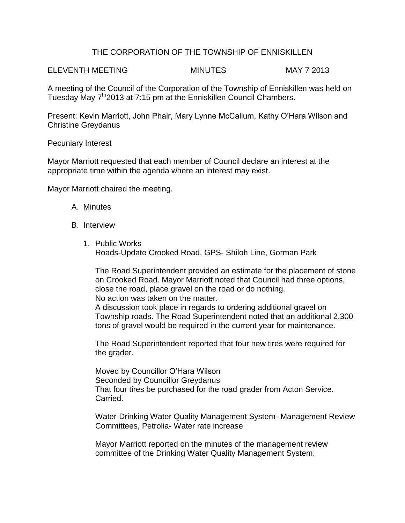## THE CORPORATION OF THE TOWNSHIP OF ENNISKILLEN

ELEVENTH MEETING MINUTES MAY 7 2013

A meeting of the Council of the Corporation of the Township of Enniskillen was held on Tuesday May 7<sup>th</sup>2013 at 7:15 pm at the Enniskillen Council Chambers.

Present: Kevin Marriott, John Phair, Mary Lynne McCallum, Kathy O'Hara Wilson and Christine Greydanus

Pecuniary Interest

Mayor Marriott requested that each member of Council declare an interest at the appropriate time within the agenda where an interest may exist.

Mayor Marriott chaired the meeting.

- A. Minutes
- B. Interview
	- 1. Public Works Roads-Update Crooked Road, GPS- Shiloh Line, Gorman Park

The Road Superintendent provided an estimate for the placement of stone on Crooked Road. Mayor Marriott noted that Council had three options, close the road, place gravel on the road or do nothing.

No action was taken on the matter.

A discussion took place in regards to ordering additional gravel on Township roads. The Road Superintendent noted that an additional 2,300 tons of gravel would be required in the current year for maintenance.

The Road Superintendent reported that four new tires were required for the grader.

Moved by Councillor O'Hara Wilson Seconded by Councillor Greydanus That four tires be purchased for the road grader from Acton Service. Carried.

Water-Drinking Water Quality Management System- Management Review Committees, Petrolia- Water rate increase

Mayor Marriott reported on the minutes of the management review committee of the Drinking Water Quality Management System.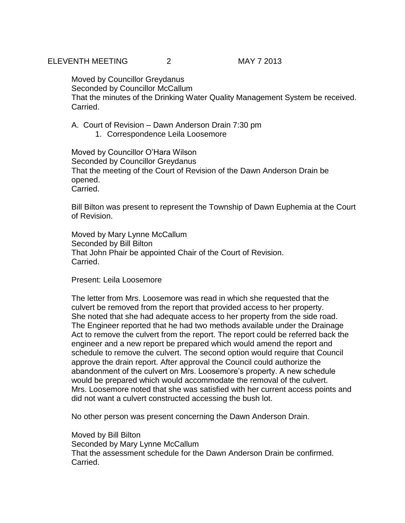Moved by Councillor Greydanus Seconded by Councillor McCallum That the minutes of the Drinking Water Quality Management System be received. Carried.

A. Court of Revision – Dawn Anderson Drain 7:30 pm

1. Correspondence Leila Loosemore

Moved by Councillor O'Hara Wilson Seconded by Councillor Greydanus That the meeting of the Court of Revision of the Dawn Anderson Drain be opened. Carried.

Bill Bilton was present to represent the Township of Dawn Euphemia at the Court of Revision.

Moved by Mary Lynne McCallum Seconded by Bill Bilton That John Phair be appointed Chair of the Court of Revision. Carried.

Present: Leila Loosemore

The letter from Mrs. Loosemore was read in which she requested that the culvert be removed from the report that provided access to her property. She noted that she had adequate access to her property from the side road. The Engineer reported that he had two methods available under the Drainage Act to remove the culvert from the report. The report could be referred back the engineer and a new report be prepared which would amend the report and schedule to remove the culvert. The second option would require that Council approve the drain report. After approval the Council could authorize the abandonment of the culvert on Mrs. Loosemore's property. A new schedule would be prepared which would accommodate the removal of the culvert. Mrs. Loosemore noted that she was satisfied with her current access points and did not want a culvert constructed accessing the bush lot.

No other person was present concerning the Dawn Anderson Drain.

Moved by Bill Bilton Seconded by Mary Lynne McCallum That the assessment schedule for the Dawn Anderson Drain be confirmed. Carried.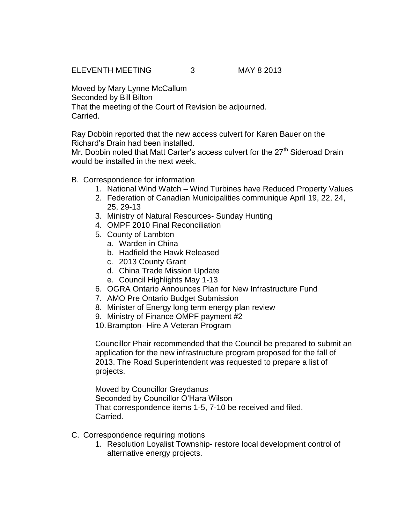ELEVENTH MEETING 3 MAY 8 2013

Moved by Mary Lynne McCallum Seconded by Bill Bilton That the meeting of the Court of Revision be adjourned. Carried.

Ray Dobbin reported that the new access culvert for Karen Bauer on the Richard's Drain had been installed.

Mr. Dobbin noted that Matt Carter's access culvert for the 27<sup>th</sup> Sideroad Drain would be installed in the next week.

- B. Correspondence for information
	- 1. National Wind Watch Wind Turbines have Reduced Property Values
	- 2. Federation of Canadian Municipalities communique April 19, 22, 24, 25, 29-13
	- 3. Ministry of Natural Resources- Sunday Hunting
	- 4. OMPF 2010 Final Reconciliation
	- 5. County of Lambton
		- a. Warden in China
		- b. Hadfield the Hawk Released
		- c. 2013 County Grant
		- d. China Trade Mission Update
		- e. Council Highlights May 1-13
	- 6. OGRA Ontario Announces Plan for New Infrastructure Fund
	- 7. AMO Pre Ontario Budget Submission
	- 8. Minister of Energy long term energy plan review
	- 9. Ministry of Finance OMPF payment #2
	- 10.Brampton- Hire A Veteran Program

Councillor Phair recommended that the Council be prepared to submit an application for the new infrastructure program proposed for the fall of 2013. The Road Superintendent was requested to prepare a list of projects.

Moved by Councillor Greydanus Seconded by Councillor O'Hara Wilson That correspondence items 1-5, 7-10 be received and filed. Carried.

- C. Correspondence requiring motions
	- 1. Resolution Loyalist Township- restore local development control of alternative energy projects.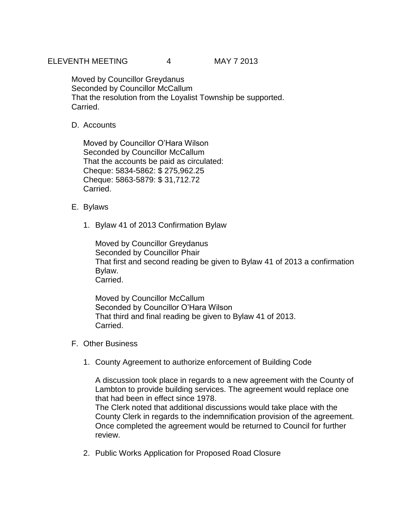Moved by Councillor Greydanus Seconded by Councillor McCallum That the resolution from the Loyalist Township be supported. Carried.

D. Accounts

Moved by Councillor O'Hara Wilson Seconded by Councillor McCallum That the accounts be paid as circulated: Cheque: 5834-5862: \$ 275,962.25 Cheque: 5863-5879: \$ 31,712.72 Carried.

- E. Bylaws
	- 1. Bylaw 41 of 2013 Confirmation Bylaw

Moved by Councillor Greydanus Seconded by Councillor Phair That first and second reading be given to Bylaw 41 of 2013 a confirmation Bylaw. Carried.

Moved by Councillor McCallum Seconded by Councillor O'Hara Wilson That third and final reading be given to Bylaw 41 of 2013. Carried.

- F. Other Business
	- 1. County Agreement to authorize enforcement of Building Code

A discussion took place in regards to a new agreement with the County of Lambton to provide building services. The agreement would replace one that had been in effect since 1978. The Clerk noted that additional discussions would take place with the County Clerk in regards to the indemnification provision of the agreement.

Once completed the agreement would be returned to Council for further review.

2. Public Works Application for Proposed Road Closure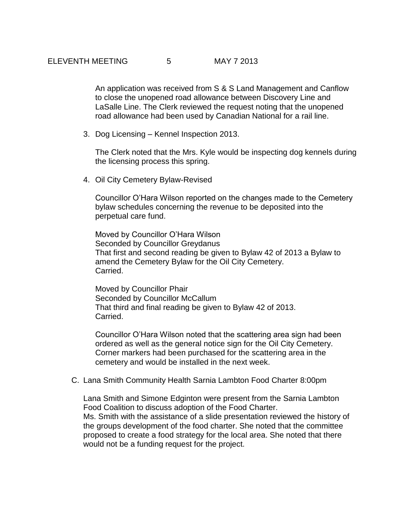An application was received from S & S Land Management and Canflow to close the unopened road allowance between Discovery Line and LaSalle Line. The Clerk reviewed the request noting that the unopened road allowance had been used by Canadian National for a rail line.

3. Dog Licensing – Kennel Inspection 2013.

The Clerk noted that the Mrs. Kyle would be inspecting dog kennels during the licensing process this spring.

4. Oil City Cemetery Bylaw-Revised

Councillor O'Hara Wilson reported on the changes made to the Cemetery bylaw schedules concerning the revenue to be deposited into the perpetual care fund.

Moved by Councillor O'Hara Wilson Seconded by Councillor Greydanus That first and second reading be given to Bylaw 42 of 2013 a Bylaw to amend the Cemetery Bylaw for the Oil City Cemetery. Carried.

Moved by Councillor Phair Seconded by Councillor McCallum That third and final reading be given to Bylaw 42 of 2013. Carried.

Councillor O'Hara Wilson noted that the scattering area sign had been ordered as well as the general notice sign for the Oil City Cemetery. Corner markers had been purchased for the scattering area in the cemetery and would be installed in the next week.

C. Lana Smith Community Health Sarnia Lambton Food Charter 8:00pm

Lana Smith and Simone Edginton were present from the Sarnia Lambton Food Coalition to discuss adoption of the Food Charter. Ms. Smith with the assistance of a slide presentation reviewed the history of the groups development of the food charter. She noted that the committee proposed to create a food strategy for the local area. She noted that there would not be a funding request for the project.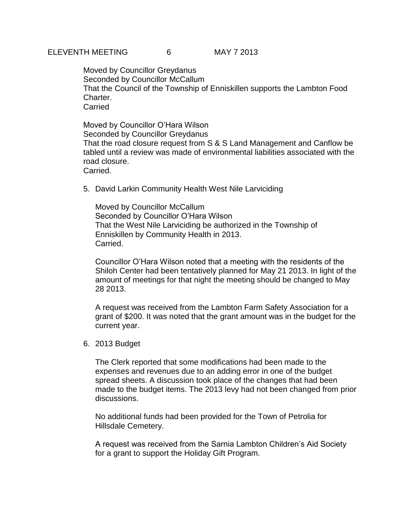Moved by Councillor Greydanus Seconded by Councillor McCallum That the Council of the Township of Enniskillen supports the Lambton Food Charter. Carried

Moved by Councillor O'Hara Wilson Seconded by Councillor Greydanus That the road closure request from S & S Land Management and Canflow be tabled until a review was made of environmental liabilities associated with the road closure. Carried.

5. David Larkin Community Health West Nile Larviciding

Moved by Councillor McCallum Seconded by Councillor O'Hara Wilson That the West Nile Larviciding be authorized in the Township of Enniskillen by Community Health in 2013. Carried.

Councillor O'Hara Wilson noted that a meeting with the residents of the Shiloh Center had been tentatively planned for May 21 2013. In light of the amount of meetings for that night the meeting should be changed to May 28 2013.

A request was received from the Lambton Farm Safety Association for a grant of \$200. It was noted that the grant amount was in the budget for the current year.

6. 2013 Budget

The Clerk reported that some modifications had been made to the expenses and revenues due to an adding error in one of the budget spread sheets. A discussion took place of the changes that had been made to the budget items. The 2013 levy had not been changed from prior discussions.

No additional funds had been provided for the Town of Petrolia for Hillsdale Cemetery.

A request was received from the Sarnia Lambton Children's Aid Society for a grant to support the Holiday Gift Program.